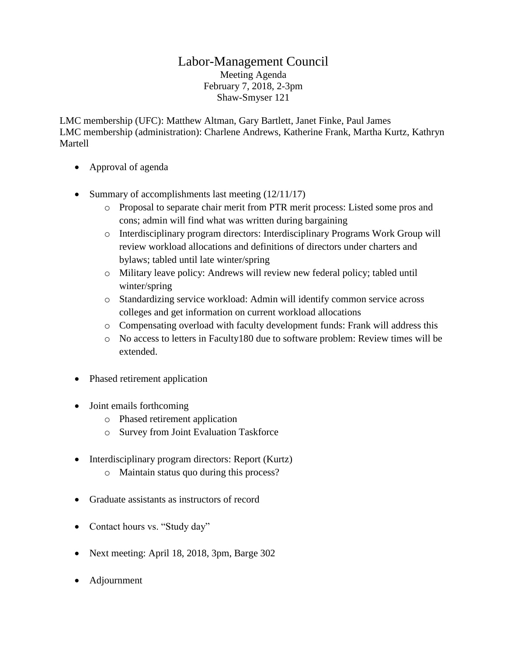## Labor-Management Council Meeting Agenda February 7, 2018, 2-3pm Shaw-Smyser 121

LMC membership (UFC): Matthew Altman, Gary Bartlett, Janet Finke, Paul James LMC membership (administration): Charlene Andrews, Katherine Frank, Martha Kurtz, Kathryn Martell

- Approval of agenda
- Summary of accomplishments last meeting  $(12/11/17)$ 
	- o Proposal to separate chair merit from PTR merit process: Listed some pros and cons; admin will find what was written during bargaining
	- o Interdisciplinary program directors: Interdisciplinary Programs Work Group will review workload allocations and definitions of directors under charters and bylaws; tabled until late winter/spring
	- o Military leave policy: Andrews will review new federal policy; tabled until winter/spring
	- o Standardizing service workload: Admin will identify common service across colleges and get information on current workload allocations
	- o Compensating overload with faculty development funds: Frank will address this
	- o No access to letters in Faculty180 due to software problem: Review times will be extended.
- Phased retirement application
- Joint emails forthcoming
	- o Phased retirement application
	- o Survey from Joint Evaluation Taskforce
- Interdisciplinary program directors: Report (Kurtz)
	- o Maintain status quo during this process?
- Graduate assistants as instructors of record
- Contact hours vs. "Study day"
- Next meeting: April 18, 2018, 3pm, Barge 302
- Adjournment